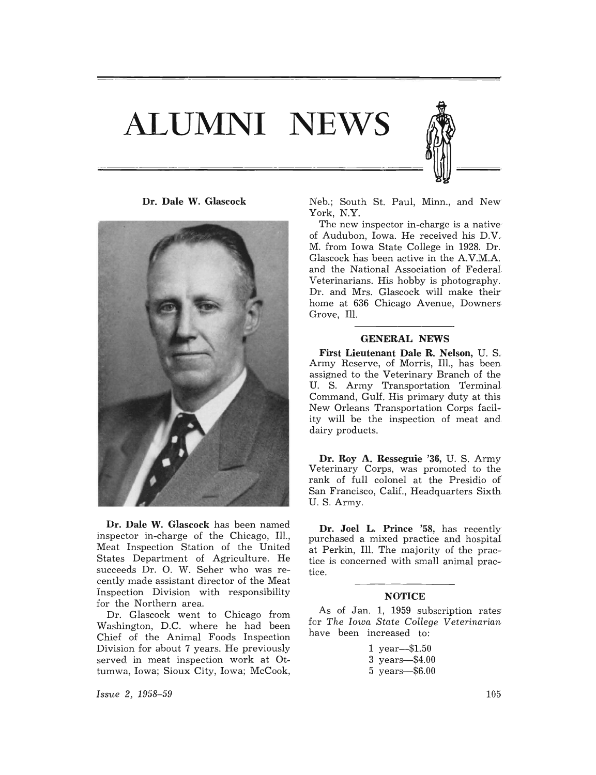# **ALUMNI NEWS**





**Dr. Dale W. Glascock** has been named inspector in-charge of the Chicago, Ill., Meat Inspection Station of the United States Department of Agriculture. He succeeds Dr. O. W. Seher who was recently made assistant director of the Meat Inspection Division with responsibility for the Northern area.

Dr. Glascock went to Chicago from Washington, D.C. where he had been Chief of the Animal Foods Inspection Division for about 7 years. He previously served in meat inspection work at Ottumwa, Iowa; Sioux City, Iowa; McCook,

Issue 2, 1958-59

Neb.; South St. Paul, Minn., and New York, N.Y.

The new inspector in-charge is a native' of Audubon, Iowa. He received his D.V. M. from Iowa State College in 1928. Dr. Glascock has been active in the A.V.M.A. and the National Association of Federal Veterinarians. His hobby is photography. Dr. and Mrs. Glascock will make their home at 636 Chicago Avenue, Downers Grove, Ill.

#### **GENERAL NEWS**

**First Lieutenant Dale R. Nelson,** U. S. Army Reserve, of Morris, Ill., has been assigned to the Veterinary Branch of the U. S. Army Transportation Terminal Command, Gulf. His primary duty at this New Orleans Transportation Corps facility will be the inspection of meat and dairy products.

**Dr. Roy A. Resseguie** '36, U. S. Army Veterinary Corps, was promoted to the rank of full colonel at the Presidio of San Francisco, Calif., Headquarters Sixth U. S. Army.

**Dr. Joel L. Prince** '58, has recently purchased a mixed practice and hospital at Perkin, **Ill.** The majority of the practice is concerned with small animal practice.

#### **NOTICE**

As of Jan. 1, 1959 subscription rates for *The Iowa State College Veterinarian*  have been increased to:

> 1 year-\$1.50 3 years-\$4.00 5 years-\$6.00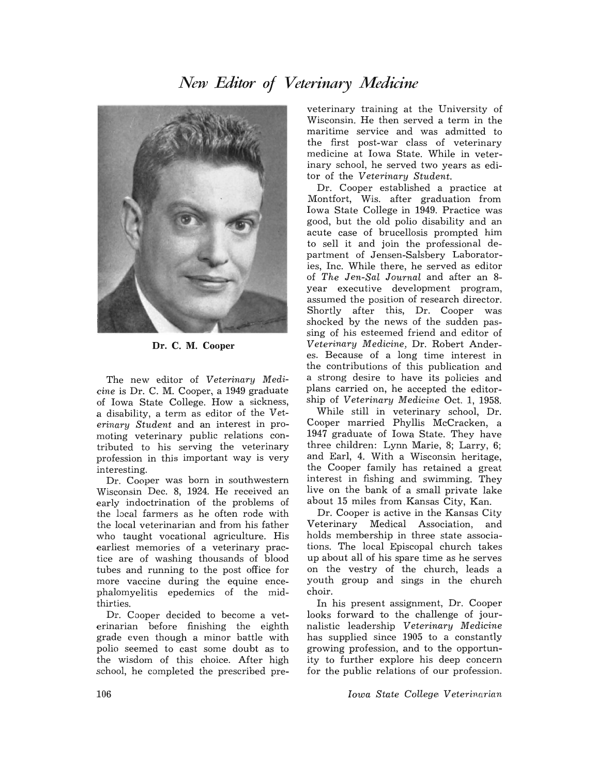### *New Editor 0/ Veterinary Medicine*



Dr. C. M. Cooper

The new editor of *Veterinary Medicine* is Dr. C. M. Cooper, a 1949 graduate of Iowa State College. How a sickness, a disability, a term as editor of the *Veterinary Student* and an interest in promoting veterinary public relations contributed to his serving the veterinary profession in this important way is very interesting.

Dr. Cooper was born in southwestern Wisconsin Dec. 8, 1924. He received an early indoctrination of the problems of the local farmers as he often rode with the local veterinarian and from his father who taught vocational agriculture. His earliest memories of a veterinary practice are of washing thousands of blood tubes and running to the post office for more vaccine during the equine encephalomyelitis epedemics of the midthirties.

Dr. Cooper decided to become a veterinarian before finishing the eighth grade even though a minor battle with polio seemed to cast some doubt as to the wisdom of this choice. After high school, he completed the prescribed pre-

veterinary training at the University of Wisconsin. He then served a term in the maritime service and was admitted to the first post-war class of veterinary medicine at Iowa State. While in veterinary school, he served two years as editor of the *Veterinary Student.* 

Dr. Cooper established a practice at Montfort, Wis. after graduation from Iowa State College in 1949. Practice was good, but the old polio disability and an acute case of brucellosis prompted him to sell it and join the professional department of Jensen-Salsbery Laboratories, Inc. While there, he served as editor of *The Jen-Sal Journal* and after an 8 year executive development program, assumed the position of research director. Shortly after this, Dr. Cooper was shocked by the news of the sudden passing of his esteemed friend and editor of *Veterinary Medicine,* Dr. Robert Anderes. Because of a long time interest in the contributions of this publication and a strong desire to have its policies and plans carried on, he accepted the editorship of *Veterinary Medicine* Oct. 1, 1958.

While still in veterinary school, Dr. Cooper married Phyllis McCracken, a 1947 graduate of Iowa State. They have three children: Lynn Marie, 8; Larry, 6; and Earl, 4. With a Wisconsin heritage, the Cooper family has retained a great interest in fishing and swimming. They live on the bank of a small private lake about 15 miles from Kansas City, Kan.

Dr. Cooper is active in the Kansas City Veterinary Medical Association, and holds membership in three state associations. The local Episcopal church takes up about all of his spare time as he serves on the vestry of the church, leads a youth group and sings in the church choir.

In his present assignment, Dr. Cooper looks forward to the challenge of journalistic leadership *Veterinary Medicine*  has supplied since 1905 to a constantly growing profession, and to the opportunity to further explore his deep concern for the public relations of our profession.

*Iowa State Collegel Veterinm'ian*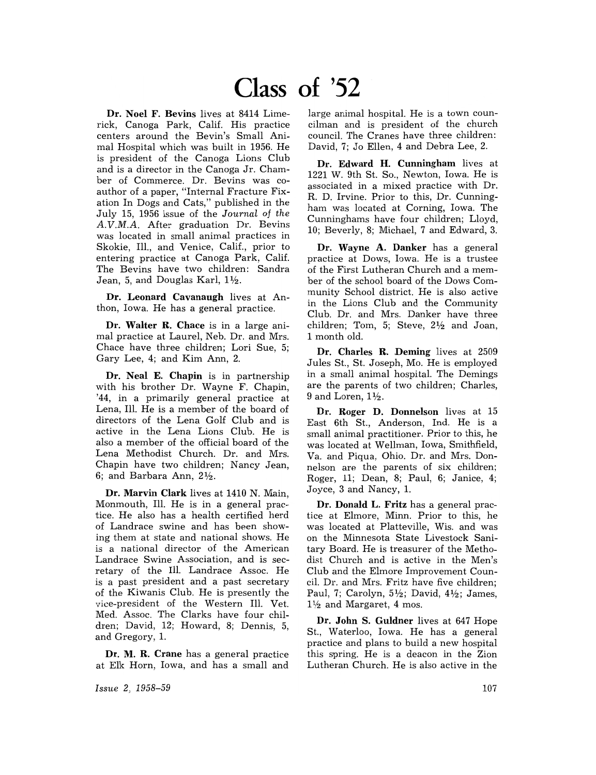## **Class of '52**

Dr. Noel F. Bevins lives at 8414 Limerick, Canoga Park, Calif. His practice centers around the Bevin's Small Animal Hospital which was built in 1956. He is president of the Canoga Lions Club and is a director in the Canoga Jr. Chamber of Commerce. Dr. Bevins was coauthor of a paper, "Internal Fracture Fixation In Dogs and Cats," published in the July 15, 1956 issue of the *Journal* of *the*  A.V.M.A. After graduation Dr. Bevins was located in small animal practices in Skokie, Ill., and Venice, Calif., prior to entering practice at Canoga Park, Calif. The Bevins have two children: Sandra Jean, 5, and Douglas Karl,  $1\frac{1}{2}$ .

Dr. Leonard Cavanaugh lives at Anthon, Iowa. He has a general practice.

Dr. Walter R. Chace is in a large animal practice at Laurel, Neb. Dr. and Mrs. Chace have three children; Lori Sue, 5; Gary Lee, 4; and Kim Ann, 2.

Dr. Neal E. Chapin is in partnership with his brother Dr. Wayne F. Chapin, '44, in a primarily general practice at Lena, Ill. He is a member of the board of directors of the Lena Golf Club and is active in the Lena Lions Club. He is also a member of the official board of the Lena Methodist Church. Dr. and Mrs. Chapin have two children; Nancy Jean, 6; and Barbara Ann,  $2\frac{1}{2}$ .

Dr. Marvin Clark lives at 1410 N. Main, Monmouth, Ill. He is in a general practice. He also has a health certified herd of Landrace swine and has been showing them at state and national shows. He is a national director of the American Landrace Swine Association, and is secretary of the Ill. Landrace Assoc. He is a past president and a past secretary of the Kiwanis Club. He is presently the vice-president of the Western Ill. Vet. Med. Assoc. The Clarks have four children; David, 12; Howard, 8; Dennis, 5, and Gregory, 1.

Dr. M. R. Crane has a general practice at Elk Horn, Iowa, and has a small and

*Issue* 2, 1958-59

large animal hospital. He is a town councilman and is president of the church council. The Cranes have three children: David, 7; Jo Ellen, 4 and Debra Lee, 2.

Dr. Edward H. Cunningham lives at 1221 W. 9th St. So., Newton, Iowa. He is associated in a mixed practice with Dr. R. D. Irvine. Prior to this, Dr. Cunningham was located at Corning, Iowa. The Cunninghams have four children; Lloyd, 10; Beverly, 8; Michael, 7 and Edward, 3.

Dr. Wayne A. Danker has a general practice at Dows, Iowa. He is a trustee of the First Lutheran Church and a member of the school board of the Dows Community School district. He is also active in the Lions Club and the Community Club. Dr. and Mrs. Danker have three children; Tom, 5; Steve,  $2\frac{1}{2}$  and Joan, 1 month old.

Dr. Charles R. Deming lives at 2509 Jules St., St. Joseph, Mo. He is employed in a small animal hospital. The Demings are the parents of two children; Charles, 9 and Loren,  $1\frac{1}{2}$ .

Dr. Roger D. Donnelson lives at 15 East 6th St., Anderson, Ind. He is a small animal practitioner. Prior to this, he was located at Wellman, Iowa, Smithfield, Va. and Piqua, Ohio. Dr. and Mrs. Donnelson are the parents of six children; Roger, 11; Dean, 8; Paul, 6; Janice, 4; Joyce, 3 and Nancy, 1.

Dr. Donald L. Fritz has a general practice at Elmore, Minn. Prior to this, he was located at Platteville, Wis. and was on the Minnesota State Livestock Sanitary Board. He is treasurer of the Methodist Church and is active in the Men's Club and the Elmore Improvement Council. Dr. and Mrs. Fritz have five children; Paul, 7; Carolyn,  $5\frac{1}{2}$ ; David,  $4\frac{1}{2}$ ; James,  $1\frac{1}{2}$  and Margaret, 4 mos.

Dr. John S. Guldner lives at 647 Hope St., Waterloo, Iowa. He has a general practice and plans to build a new hospital this spring. He is a deacon in the Zion Lutheran Church. He is also active in the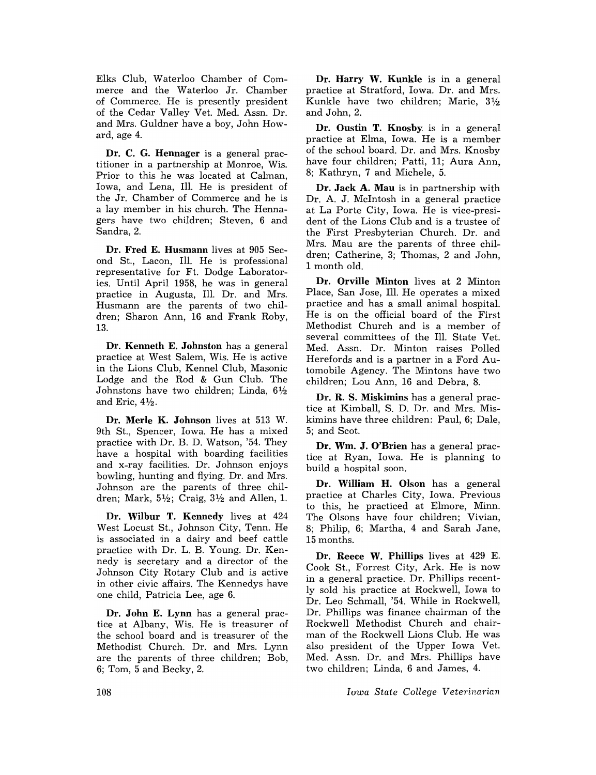Elks Club, Waterloo Chamber of Commerce and the Waterloo Jr. Chamber of Commerce. He is presently president of the Cedar Valley Vet. Med. Assn. Dr. and Mrs. Guldner have a boy, John Howard, age 4.

Dr. C. G. Hennager is a general practitioner in a partnership at Monroe, Wis. Prior to this he was located at CaIman, Iowa, and Lena, Ill. He is president of the Jr. Chamber of Commerce and he is a lay member in his church. The Hennagers have two children; Steven, 6 and Sandra, 2.

Dr. Fred E. Husmann lives at 905 Second St., Lacon, Ill. He is professional representative for Ft. Dodge Laboratories. Until April 1958, he was in general practice in Augusta, Ill. Dr. and Mrs. Husmann are the parents of two children; Sharon Ann, 16 and Frank Roby, 13.

Dr. Kenneth E. Johnston has a general practice at West Salem, Wis. He is active in the Lions Club, Kennel Club, Masonic Lodge and the Rod & Gun Club. The Johnstons have two children; Linda,  $6\frac{1}{2}$ and Eric,  $4\frac{1}{2}$ .

Dr. Merle K. Johnson lives at 513 W. 9th St., Spencer, Iowa. He has a mixed practice with Dr. B. D. Watson, '54. They have a hospital with boarding facilities and x-ray facilities. Dr. Johnson enjoys bowling, hunting and flying. Dr. and Mrs. Johnson are the parents of three children; Mark,  $5\frac{1}{2}$ ; Craig,  $3\frac{1}{2}$  and Allen, 1.

Dr. Wilbur T. Kennedy lives at 424 West Locust St., Johnson City, Tenn. He is associated in a dairy and beef cattle practice with Dr. L. B. Young. Dr. Kennedy is secretary and a director of the Johnson City Rotary Club and is active in other civic affairs. The Kennedys have one child, Patricia Lee, age 6.

Dr. John E. Lynn has a general practice at Albany, Wis. He is treasurer of the school board and is treasurer of the Methodist Church. Dr. and Mrs. Lynn are the parents of three children; Bob, 6; Tom, 5 and Becky, 2.

Dr. Harry W. Kunkle is in a general practice at Stratford, Iowa. Dr. and Mrs. Kunkle have two children; Marie, 31/2 and John, 2.

Dr. Oustin T. Knosby is in a general practice at Elma, Iowa. He is a member of the school board. Dr. and Mrs. Knosby have four children; Patti, 11; Aura Ann, 8; Kathryn, 7 and Michele, 5.

Dr. Jack A. Mau is in partnership with Dr. A. J. McIntosh in a general practice at La Porte City, Iowa. He is vice-president of the Lions Club and is a trustee of the First Presbyterian Church. Dr. and Mrs. Mau are the parents of three children; Catherine, 3; Thomas, 2 and John, 1 month old.

Dr. Orville Minton lives at 2 Minton Place, San Jose, Ill. He operates a mixed practice and has a small animal hospital. He is on the official board of the First Methodist Church and is a member of several committees of the Ill. State Vet. Med. Assn. Dr. Minton raises Polled Herefords and is a partner in a Ford Automobile Agency. The Mintons have two children; Lou Ann, 16 and Debra, 8.

Dr. R. S. Miskimins has a general practice at Kimball, S. D. Dr. and Mrs. Miskimins have three children: Paul, 6; Dale, 5; and Scot.

Dr. Wm. J. O'Brien has a general practice at Ryan, Iowa. He is planning to build a hospital soon.

Dr. William H. Olson has a general practice at Charles City, Iowa. Previous to this, he practiced at Elmore, Minn. The Olsons have four children; Vivian, 8; Philip, 6; Martha, 4 and Sarah Jane, 15 months.

Dr. Reece W. Phillips lives at 429 E. Cook St., Forrest City, Ark. He is now in a general practice. Dr. Phillips recently sold his practice at Rockwell, Iowa to Dr. Leo Schmall, '54. While in Rockwell, Dr. Phillips was finance chairman of the Rockwell Methodist Church and chairman of the Rockwell Lions Club. He was also president of the Upper Iowa Vet. Med. Assn. Dr. and Mrs. Phillips have two children; Linda, 6 and James, 4.

*Iowa State College Veterinarian*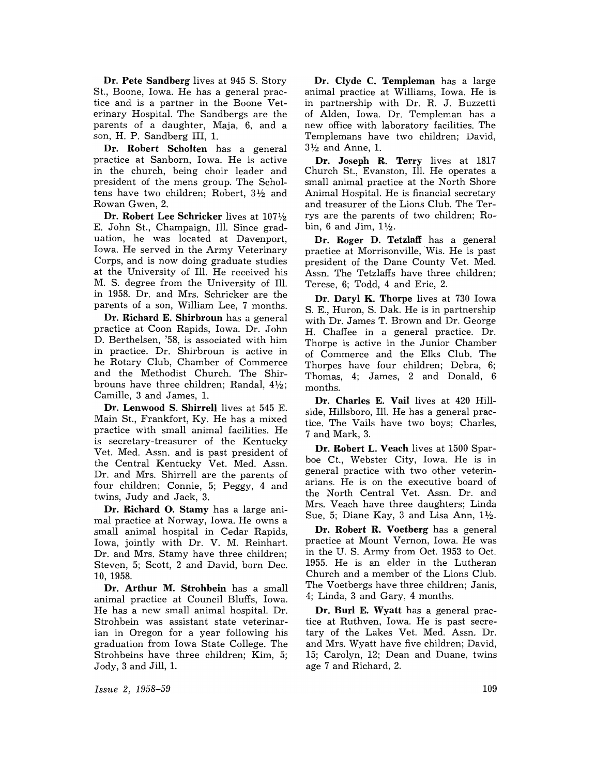Dr. Pete Sandberg lives at 945 S. Story St., Boone, Iowa. He has a general practice and is a partner in the Boone Veterinary Hospital. The Sandbergs are the parents of a daughter, Maja, 6, and a son, H. P. Sandberg III, 1.

Dr. Robert Scholten has a general practice at Sanborn, Iowa. He is active in the church, being choir leader and president of the mens group. The Scholtens have two children; Robert,  $3\frac{1}{2}$  and Rowan Gwen, 2.

Dr. Robert Lee Schricker lives at  $107\frac{1}{2}$ E. John St., Champaign, Ill. Since graduation, he was located at Davenport, Iowa. He served in the Army Veterinary Corps, and is now doing graduate studies at the University of Ill. He received his M. S. degree from the University of Ill. *in* 1958. Dr. and Mrs. Schricker are the parents of a son, William Lee, 7 months.

Dr. Richard E. Shirbroun has a general practice at Coon Rapids, Iowa. Dr. John D. Berthelsen, '58, is associated with him in practice. Dr. Shirbroun is active in he Rotary Club, Chamber of Commerce and the Methodist Church. The Shirbrouns have three children; Randal,  $4\frac{1}{2}$ ; Camille, 3 and James, 1.

Dr. Lenwood S. Shirrell lives at 545 E. Main St., Frankfort, Ky. He has a mixed practice with small animal facilities. He is secretary-treasurer of the Kentucky Vet. Med. Assn. and is past president of the Central Kentucky Vet. Med. Assn. Dr. and Mrs. Shirrell are the parents of four children; Connie, 5; Peggy, 4 and twins, Judy and Jack, 3.

Dr. Richard O. Stamy has a large animal practice at Norway, Iowa. He owns a small animal hospital in Cedar Rapids, Iowa, jointly with Dr. V. M. Reinhart. Dr. and Mrs. Stamy have three children; Steven, 5; Scott, 2 and David, born Dec. 10,1958.

Dr. Arthur M. Strohbein has a small animal practice at Council Bluffs, Iowa. He has a new small animal hospital. Dr. Strohbein was assistant state veterinarian in Oregon for a year following his graduation from Iowa State College. The Strohbeins have three children; Kim, 5; Jody, 3 and Jill, 1.

Dr. Clyde C. Templeman has a large animal practice at Williams, Iowa. He is in partnership with Dr. R. J. Buzzetti of Alden, Iowa. Dr. Templeman has a new office with laboratory facilities. The Templemans have two children; David,  $3\frac{1}{2}$  and Anne, 1.

Dr. Joseph R. Terry lives at 1817 Church St., Evanston, Ill. He operates a small animal practice at the North Shore Animal Hospital. He is financial secretary and treasurer of the Lions Club. The Terrys are the parents of two children; Robin, 6 and Jim,  $1\frac{1}{2}$ .

Dr. Roger D. Tetzlaff has a general practice at Morrisonville, Wis. He is past president of the Dane County Vet. Med. Assn. The Tetzlaffs have three children; Terese, 6; Todd, 4 and Eric, 2.

Dr. Daryl K. Thorpe lives at 730 Iowa S. E., Huron, S. Dak. He is in partnership with Dr. James T. Brown and Dr. George H. Chaffee in a general practice. Dr. Thorpe is active in the Junior Chamber of Commerce and the Elks Club. The Thorpes have four children; Debra, 6; Thomas, 4; James, 2 and Donald, 6 months.

Dr. Charles E. Vail lives at 420 Hillside, Hillsboro, Ill. He has a general practice. The Vails have two boys; Charles, 7 and Mark, 3.

Dr. Robert L. Veach lives at 1500 Sparboe Ct., Webster City, Iowa. He is in general practice with two other veterinarians. He is on the executive board of the North Central Vet. Assn. Dr. and Mrs. Veach have three daughters; Linda Sue, 5; Diane Kay, 3 and Lisa Ann,  $1\frac{1}{2}$ .

Dr. Robert R. Voetberg has a general practice at Mount Vernon, Iowa. He was in the U. S. Army from Oct. 1953 to Oct. 1955. He is an elder in the Lutheran Church and a member of the Lions Club. The Voetbergs have three children; Janis, 4; Linda, 3 and Gary, 4 months.

Dr. Burl E. Wyatt has a general practice at Ruthven, Iowa. He is past secretary of the Lakes Vet. Med. Assn. Dr. and Mrs. Wyatt have five children; David, 15; Carolyn, 12; Dean and Duane, twins age 7 and Richard, 2.

Issue 2, 1958-59